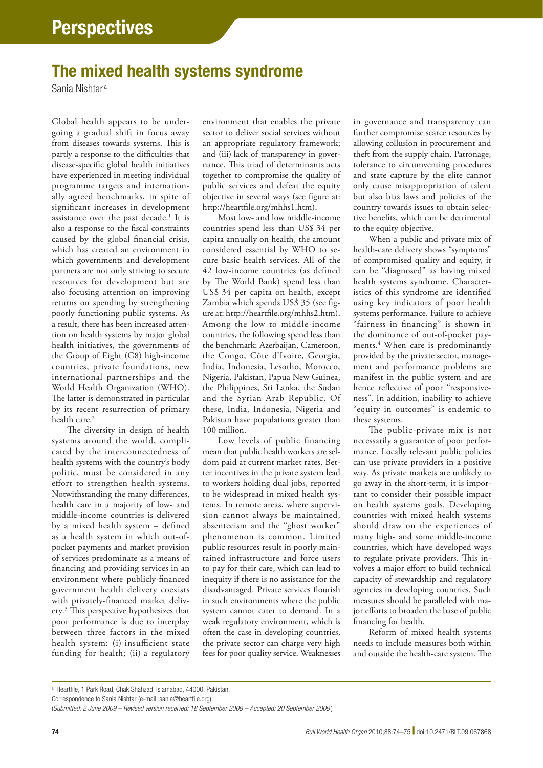## The mixed health systems syndrome

Sania Nishtar <sup>a</sup>

Global health appears to be undergoing a gradual shift in focus away from diseases towards systems. This is partly a response to the difficulties that disease-specific global health initiatives have experienced in meeting individual programme targets and internationally agreed benchmarks, in spite of significant increases in development assistance over the past decade.<sup>1</sup> It is also a response to the fiscal constraints caused by the global financial crisis, which has created an environment in which governments and development partners are not only striving to secure resources for development but are also focusing attention on improving returns on spending by strengthening poorly functioning public systems. As a result, there has been increased attention on health systems by major global health initiatives, the governments of the Group of Eight (G8) high-income countries, private foundations, new international partnerships and the World Health Organization (WHO). The latter is demonstrated in particular by its recent resurrection of primary health care.<sup>2</sup>

The diversity in design of health systems around the world, complicated by the interconnectedness of health systems with the country's body politic, must be considered in any effort to strengthen health systems. Notwithstanding the many differences, health care in a majority of low- and middle-income countries is delivered by a mixed health system – defined as a health system in which out-ofpocket payments and market provision of services predominate as a means of financing and providing services in an environment where publicly-financed government health delivery coexists with privately-financed market delivery*.* 3 This perspective hypothesizes that poor performance is due to interplay between three factors in the mixed health system: (i) insufficient state funding for health; (ii) a regulatory

environment that enables the private sector to deliver social services without an appropriate regulatory framework; and (iii) lack of transparency in governance. This triad of determinants acts together to compromise the quality of public services and defeat the equity objective in several ways (see figure at: <http://heartfile.org/mhhs1.htm>).

Most low- and low middle-income countries spend less than US\$ 34 per capita annually on health, the amount considered essential by WHO to secure basic health services. All of the 42 low-income countries (as defined by The World Bank) spend less than US\$ 34 per capita on health, except Zambia which spends US\$ 35 (see figure at: [http://heartfile.org/mhhs2.htm\)](http://heartfile.org/mhhs2.htm). Among the low to middle-income countries, the following spend less than the benchmark: Azerbaijan, Cameroon, the Congo, Côte d'Ivoire, Georgia, India, Indonesia, Lesotho, Morocco, Nigeria, Pakistan, Papua New Guinea, the Philippines, Sri Lanka, the Sudan and the Syrian Arab Republic. Of these, India, Indonesia, Nigeria and Pakistan have populations greater than 100 million.

Low levels of public financing mean that public health workers are seldom paid at current market rates. Better incentives in the private system lead to workers holding dual jobs, reported to be widespread in mixed health systems. In remote areas, where supervision cannot always be maintained, absenteeism and the "ghost worker" phenomenon is common. Limited public resources result in poorly maintained infrastructure and force users to pay for their care, which can lead to inequity if there is no assistance for the disadvantaged. Private services flourish in such environments where the public system cannot cater to demand. In a weak regulatory environment, which is often the case in developing countries, the private sector can charge very high fees for poor quality service. Weaknesses

in governance and transparency can further compromise scarce resources by allowing collusion in procurement and theft from the supply chain. Patronage, tolerance to circumventing procedures and state capture by the elite cannot only cause misappropriation of talent but also bias laws and policies of the country towards issues to obtain selective benefits, which can be detrimental to the equity objective.

When a public and private mix of health-care delivery shows "symptoms" of compromised quality and equity, it can be "diagnosed" as having mixed health systems syndrome. Characteristics of this syndrome are identified using key indicators of poor health systems performance. Failure to achieve "fairness in financing" is shown in the dominance of out-of-pocket payments.4 When care is predominantly provided by the private sector, management and performance problems are manifest in the public system and are hence reflective of poor "responsiveness". In addition, inability to achieve "equity in outcomes" is endemic to these systems.

The public-private mix is not necessarily a guarantee of poor performance. Locally relevant public policies can use private providers in a positive way. As private markets are unlikely to go away in the short-term, it is important to consider their possible impact on health systems goals. Developing countries with mixed health systems should draw on the experiences of many high- and some middle-income countries, which have developed ways to regulate private providers. This involves a major effort to build technical capacity of stewardship and regulatory agencies in developing countries. Such measures should be paralleled with major efforts to broaden the base of public financing for health.

Reform of mixed health systems needs to include measures both within and outside the health-care system. The

<sup>a</sup> Heartfile, 1 Park Road, Chak Shahzad, Islamabad, 44000, Pakistan.

Correspondence to Sania Nishtar (e-mail: sania@heartfile.org).

<sup>(</sup>*Submitted: 2 June 2009 – Revised version received: 18 September 2009 – Accepted: 20 September 2009* )